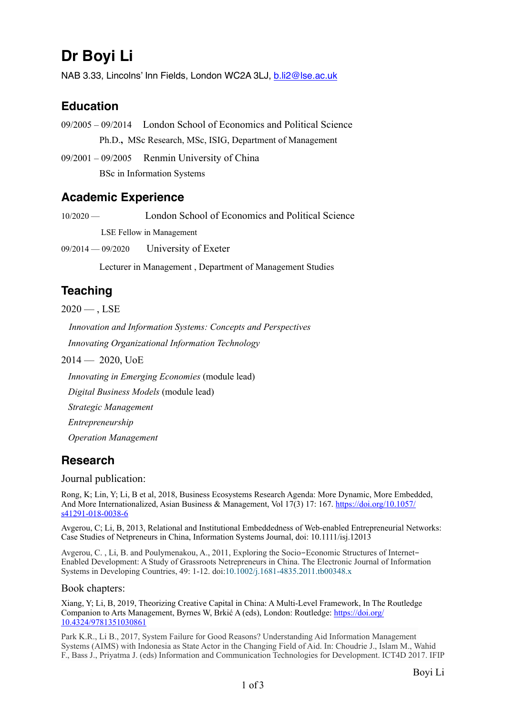# **Dr Boyi Li**

NAB 3.33, Lincolns' Inn Fields, London WC2A 3LJ, [b.li2@lse.ac.uk](mailto:b.li2@lse.ac.uk)

# **Education**

09/2005 – 09/2014London School of Economics and Political Science Ph.D.**,** MSc Research, MSc, ISIG, Department of Management

09/2001 – 09/2005Renmin University of China BSc in Information Systems

## **Academic Experience**

10/2020 — London School of Economics and Political Science LSE Fellow in Management

09/2014 — 09/2020 University of Exeter

Lecturer in Management , Department of Management Studies

# **Teaching**

 $2020 -$ , LSE

*Innovation and Information Systems: Concepts and Perspectives* 

 *Innovating Organizational Information Technology* 

 $2014 - 2020$ , UoE

*Innovating in Emerging Economies* (module lead)

*Digital Business Models* (module lead)

*Strategic Management*

*Entrepreneurship*

*Operation Management*

### **Research**

Journal publication:

Rong, K; Lin, Y; Li, B et al, 2018, Business Ecosystems Research Agenda: More Dynamic, More Embedded, And More Internationalized, Asian Business & Management, Vol 17(3) 17: 167. [https://doi.org/10.1057/](https://doi.org/10.1057/s41291-018-0038-6) [s41291-018-0038-6](https://doi.org/10.1057/s41291-018-0038-6)

Avgerou, C; Li, B, 2013, Relational and Institutional Embeddedness of Web-enabled Entrepreneurial Networks: Case Studies of Netpreneurs in China, Information Systems Journal, doi: 10.1111/isj.12013

Avgerou, C. , Li, B. and Poulymenakou, A., 2011, Exploring the Socio-Economic Structures of Internet-Enabled Development: A Study of Grassroots Netrepreneurs in China. The Electronic Journal of Information Systems in Developing Countries, 49: 1-12. doi[:10.1002/j.1681-4835.2011.tb00348.x](https://doi.org/10.1002/j.1681-4835.2011.tb00348.x)

#### Book chapters:

Xiang, Y; Li, B, 2019, Theorizing Creative Capital in China: A Multi-Level Framework, In The Routledge Companion to Arts Management, Byrnes W, Brkić A (eds), London: Routledge: [https://doi.org/](https://doi.org/10.4324/9781351030861) [10.4324/9781351030861](https://doi.org/10.4324/9781351030861)

Park K.R., Li B., 2017, System Failure for Good Reasons? Understanding Aid Information Management Systems (AIMS) with Indonesia as State Actor in the Changing Field of Aid. In: Choudrie J., Islam M., Wahid F., Bass J., Priyatma J. (eds) Information and Communication Technologies for Development. ICT4D 2017. IFIP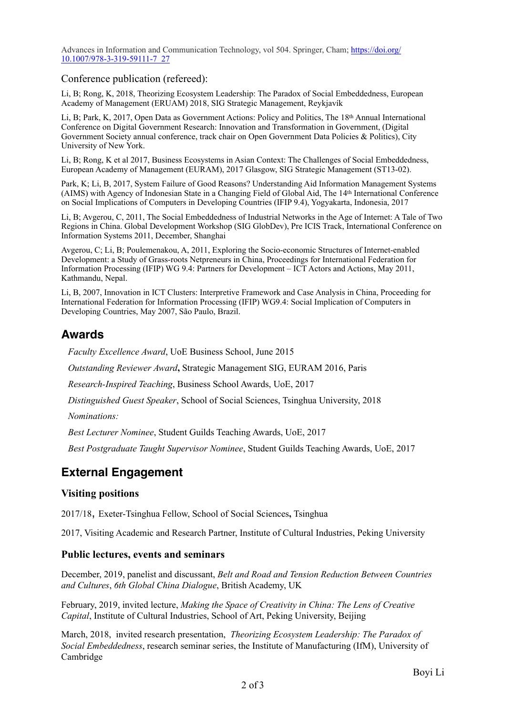Advances in Information and Communication Technology, vol 504. Springer, Cham; [https://doi.org/](https://doi.org/10.1007/978-3-319-59111-7_27) [10.1007/978-3-319-59111-7\\_27](https://doi.org/10.1007/978-3-319-59111-7_27)

Conference publication (refereed):

Li, B; Rong, K, 2018, Theorizing Ecosystem Leadership: The Paradox of Social Embeddedness, European Academy of Management (ERUAM) 2018, SIG Strategic Management, Reykjavík

Li, B; Park, K, 2017, Open Data as Government Actions: Policy and Politics, The 18th Annual International Conference on Digital Government Research: Innovation and Transformation in Government, (Digital Government Society annual conference, track chair on Open Government Data Policies & Politics), City University of New York.

Li, B; Rong, K et al 2017, Business Ecosystems in Asian Context: The Challenges of Social Embeddedness, European Academy of Management (EURAM), 2017 Glasgow, SIG Strategic Management (ST13-02).

Park, K; Li, B, 2017, System Failure of Good Reasons? Understanding Aid Information Management Systems (AIMS) with Agency of Indonesian State in a Changing Field of Global Aid, The 14th International Conference on Social Implications of Computers in Developing Countries (IFIP 9.4), Yogyakarta, Indonesia, 2017

Li, B; Avgerou, C, 2011, The Social Embeddedness of Industrial Networks in the Age of Internet: A Tale of Two Regions in China. Global Development Workshop (SIG GlobDev), Pre ICIS Track, International Conference on Information Systems 2011, December, Shanghai

Avgerou, C; Li, B; Poulemenakou, A, 2011, Exploring the Socio-economic Structures of Internet-enabled Development: a Study of Grass-roots Netpreneurs in China, Proceedings for International Federation for Information Processing (IFIP) WG 9.4: Partners for Development – ICT Actors and Actions, May 2011, Kathmandu, Nepal.

Li, B, 2007, Innovation in ICT Clusters: Interpretive Framework and Case Analysis in China, Proceeding for International Federation for Information Processing (IFIP) WG9.4: Social Implication of Computers in Developing Countries, May 2007, São Paulo, Brazil.

### **Awards**

*Faculty Excellence Award*, UoE Business School, June 2015

*Outstanding Reviewer Award***,** Strategic Management SIG, EURAM 2016, Paris

*Research-Inspired Teaching*, Business School Awards, UoE, 2017

*Distinguished Guest Speaker*, School of Social Sciences, Tsinghua University, 2018

*Nominations:* 

*Best Lecturer Nominee*, Student Guilds Teaching Awards, UoE, 2017

*Best Postgraduate Taught Supervisor Nominee*, Student Guilds Teaching Awards, UoE, 2017

# **External Engagement**

### **Visiting positions**

2017/18, Exeter-Tsinghua Fellow, School of Social Sciences**,** Tsinghua

2017, Visiting Academic and Research Partner, Institute of Cultural Industries, Peking University

#### **Public lectures, events and seminars**

December, 2019, panelist and discussant, *Belt and Road and Tension Reduction Between Countries and Cultures*, *6th Global China Dialogue*, British Academy, UK

February, 2019, invited lecture, *Making the Space of Creativity in China: The Lens of Creative Capital*, Institute of Cultural Industries, School of Art, Peking University, Beijing

March, 2018, invited research presentation, *Theorizing Ecosystem Leadership: The Paradox of Social Embeddedness*, research seminar series, the Institute of Manufacturing (IfM), University of Cambridge